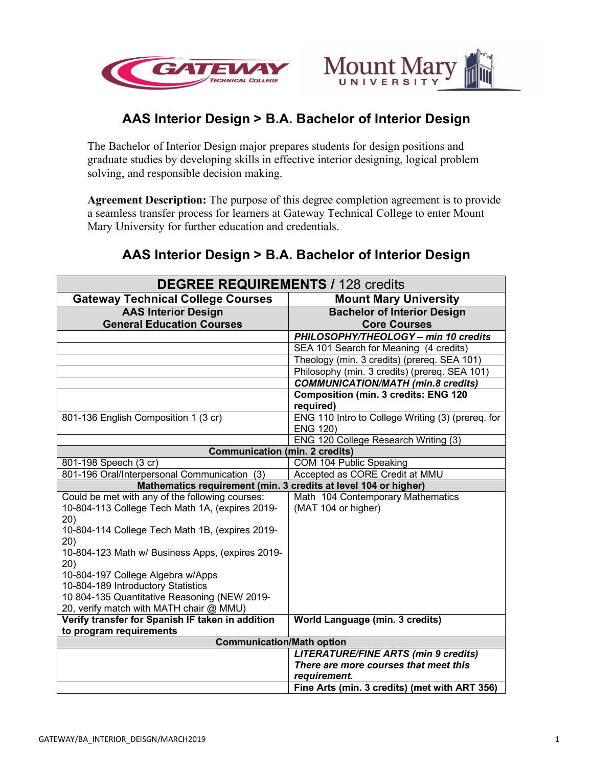



# **AAS Interior Design > B.A. Bachelor of Interior Design**

The Bachelor of Interior Design major prepares students for design positions and graduate studies by developing skills in effective interior designing, logical problem solving, and responsible decision making.

**Agreement Description:** The purpose of this degree completion agreement is to provide a seamless transfer process for learners at Gateway Technical College to enter Mount Mary University for further education and credentials.

## **AAS Interior Design > B.A. Bachelor of Interior Design**

| <b>DEGREE REQUIREMENTS / 128 credits</b>                        |                                                   |  |
|-----------------------------------------------------------------|---------------------------------------------------|--|
| <b>Gateway Technical College Courses</b>                        | <b>Mount Mary University</b>                      |  |
| <b>AAS Interior Design</b>                                      | <b>Bachelor of Interior Design</b>                |  |
| <b>General Education Courses</b>                                | <b>Core Courses</b>                               |  |
|                                                                 | PHILOSOPHY/THEOLOGY - min 10 credits              |  |
|                                                                 | SEA 101 Search for Meaning (4 credits)            |  |
|                                                                 | Theology (min. 3 credits) (prereq. SEA 101)       |  |
|                                                                 | Philosophy (min. 3 credits) (prereq. SEA 101)     |  |
|                                                                 | <b>COMMUNICATION/MATH (min.8 credits)</b>         |  |
|                                                                 | <b>Composition (min. 3 credits: ENG 120</b>       |  |
|                                                                 | required)                                         |  |
| 801-136 English Composition 1 (3 cr)                            | ENG 110 Intro to College Writing (3) (prereq. for |  |
|                                                                 | <b>ENG 120)</b>                                   |  |
|                                                                 | ENG 120 College Research Writing (3)              |  |
| <b>Communication (min. 2 credits)</b>                           |                                                   |  |
| 801-198 Speech (3 cr)                                           | COM 104 Public Speaking                           |  |
| 801-196 Oral/Interpersonal Communication (3)                    | Accepted as CORE Credit at MMU                    |  |
| Mathematics requirement (min. 3 credits at level 104 or higher) |                                                   |  |
| Could be met with any of the following courses:                 | Math 104 Contemporary Mathematics                 |  |
| 10-804-113 College Tech Math 1A, (expires 2019-                 | (MAT 104 or higher)                               |  |
| 20)                                                             |                                                   |  |
| 10-804-114 College Tech Math 1B, (expires 2019-                 |                                                   |  |
| 20)<br>10-804-123 Math w/ Business Apps, (expires 2019-         |                                                   |  |
| (20)                                                            |                                                   |  |
| 10-804-197 College Algebra w/Apps                               |                                                   |  |
| 10-804-189 Introductory Statistics                              |                                                   |  |
| 10 804-135 Quantitative Reasoning (NEW 2019-                    |                                                   |  |
| 20, verify match with MATH chair @ MMU)                         |                                                   |  |
| Verify transfer for Spanish IF taken in addition                | World Language (min. 3 credits)                   |  |
| to program requirements                                         |                                                   |  |
| <b>Communication/Math option</b>                                |                                                   |  |
|                                                                 | <b>LITERATURE/FINE ARTS (min 9 credits)</b>       |  |
|                                                                 | There are more courses that meet this             |  |
|                                                                 | requirement.                                      |  |
|                                                                 | Fine Arts (min. 3 credits) (met with ART 356)     |  |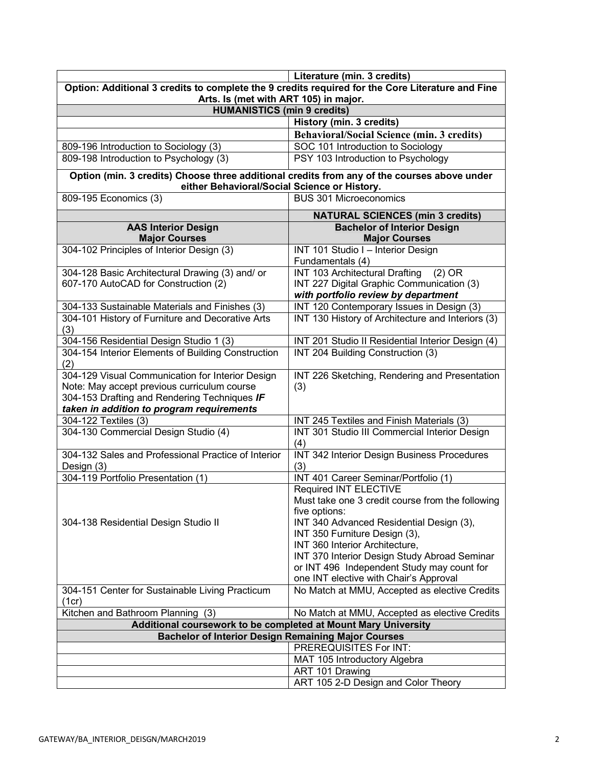|                                                                                                                                             | Literature (min. 3 credits)                                                          |  |
|---------------------------------------------------------------------------------------------------------------------------------------------|--------------------------------------------------------------------------------------|--|
| Option: Additional 3 credits to complete the 9 credits required for the Core Literature and Fine                                            |                                                                                      |  |
| Arts. Is (met with ART 105) in major.                                                                                                       |                                                                                      |  |
| <b>HUMANISTICS (min 9 credits)</b>                                                                                                          |                                                                                      |  |
|                                                                                                                                             | History (min. 3 credits)                                                             |  |
|                                                                                                                                             | <b>Behavioral/Social Science (min. 3 credits)</b>                                    |  |
| 809-196 Introduction to Sociology (3)                                                                                                       | SOC 101 Introduction to Sociology                                                    |  |
| 809-198 Introduction to Psychology (3)                                                                                                      | PSY 103 Introduction to Psychology                                                   |  |
| Option (min. 3 credits) Choose three additional credits from any of the courses above under<br>either Behavioral/Social Science or History. |                                                                                      |  |
| 809-195 Economics (3)                                                                                                                       | <b>BUS 301 Microeconomics</b>                                                        |  |
|                                                                                                                                             | <b>NATURAL SCIENCES (min 3 credits)</b>                                              |  |
| <b>AAS Interior Design</b><br><b>Major Courses</b>                                                                                          | <b>Bachelor of Interior Design</b><br><b>Major Courses</b>                           |  |
| 304-102 Principles of Interior Design (3)                                                                                                   | INT 101 Studio I - Interior Design                                                   |  |
|                                                                                                                                             | Fundamentals (4)                                                                     |  |
| 304-128 Basic Architectural Drawing (3) and/ or                                                                                             | <b>INT 103 Architectural Drafting</b><br>$(2)$ OR                                    |  |
| 607-170 AutoCAD for Construction (2)                                                                                                        | INT 227 Digital Graphic Communication (3)                                            |  |
|                                                                                                                                             | with portfolio review by department                                                  |  |
| 304-133 Sustainable Materials and Finishes (3)                                                                                              | INT 120 Contemporary Issues in Design (3)                                            |  |
| 304-101 History of Furniture and Decorative Arts                                                                                            | INT 130 History of Architecture and Interiors (3)                                    |  |
| (3)                                                                                                                                         |                                                                                      |  |
| 304-156 Residential Design Studio 1 (3)                                                                                                     | INT 201 Studio II Residential Interior Design (4)                                    |  |
| 304-154 Interior Elements of Building Construction                                                                                          | INT 204 Building Construction (3)                                                    |  |
| (2)                                                                                                                                         |                                                                                      |  |
| 304-129 Visual Communication for Interior Design                                                                                            | INT 226 Sketching, Rendering and Presentation                                        |  |
| Note: May accept previous curriculum course                                                                                                 | (3)                                                                                  |  |
| 304-153 Drafting and Rendering Techniques IF                                                                                                |                                                                                      |  |
| taken in addition to program requirements                                                                                                   |                                                                                      |  |
| 304-122 Textiles (3)                                                                                                                        | INT 245 Textiles and Finish Materials (3)                                            |  |
| 304-130 Commercial Design Studio (4)                                                                                                        | INT 301 Studio III Commercial Interior Design                                        |  |
|                                                                                                                                             | (4)                                                                                  |  |
| 304-132 Sales and Professional Practice of Interior                                                                                         | INT 342 Interior Design Business Procedures                                          |  |
| Design (3)                                                                                                                                  | (3)                                                                                  |  |
| 304-119 Portfolio Presentation (1)                                                                                                          | INT 401 Career Seminar/Portfolio (1)                                                 |  |
|                                                                                                                                             | Required INT ELECTIVE                                                                |  |
|                                                                                                                                             | Must take one 3 credit course from the following                                     |  |
|                                                                                                                                             | five options:                                                                        |  |
| 304-138 Residential Design Studio II                                                                                                        | INT 340 Advanced Residential Design (3),                                             |  |
|                                                                                                                                             | INT 350 Furniture Design (3),                                                        |  |
|                                                                                                                                             | INT 360 Interior Architecture,                                                       |  |
|                                                                                                                                             | INT 370 Interior Design Study Abroad Seminar                                         |  |
|                                                                                                                                             | or INT 496 Independent Study may count for<br>one INT elective with Chair's Approval |  |
|                                                                                                                                             | No Match at MMU, Accepted as elective Credits                                        |  |
| 304-151 Center for Sustainable Living Practicum<br>(1cr)                                                                                    |                                                                                      |  |
| Kitchen and Bathroom Planning (3)                                                                                                           | No Match at MMU, Accepted as elective Credits                                        |  |
| Additional coursework to be completed at Mount Mary University                                                                              |                                                                                      |  |
| <b>Bachelor of Interior Design Remaining Major Courses</b>                                                                                  |                                                                                      |  |
|                                                                                                                                             | PREREQUISITES For INT:                                                               |  |
|                                                                                                                                             | MAT 105 Introductory Algebra                                                         |  |
|                                                                                                                                             | ART 101 Drawing                                                                      |  |
|                                                                                                                                             | ART 105 2-D Design and Color Theory                                                  |  |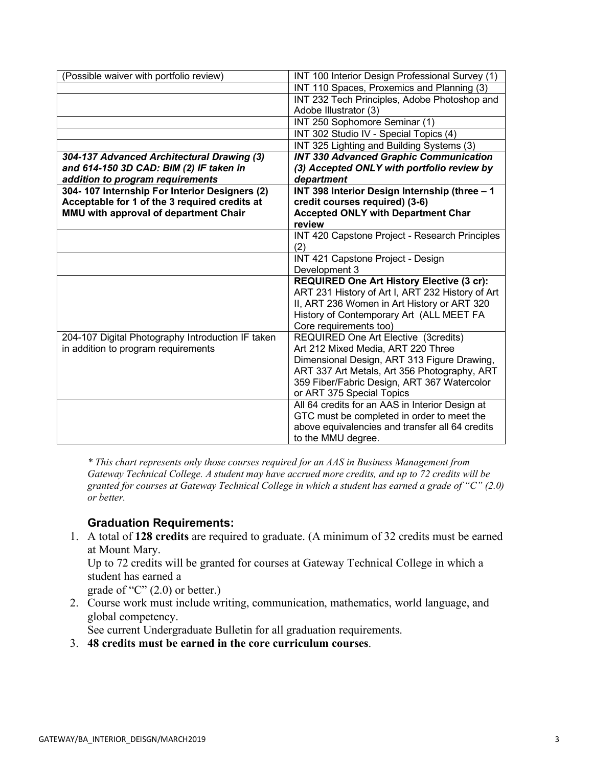| (Possible waiver with portfolio review)           | INT 100 Interior Design Professional Survey (1)                                                 |
|---------------------------------------------------|-------------------------------------------------------------------------------------------------|
|                                                   | INT 110 Spaces, Proxemics and Planning (3)                                                      |
|                                                   | INT 232 Tech Principles, Adobe Photoshop and                                                    |
|                                                   | Adobe Illustrator (3)                                                                           |
|                                                   | INT 250 Sophomore Seminar (1)                                                                   |
|                                                   | INT 302 Studio IV - Special Topics (4)                                                          |
|                                                   | INT 325 Lighting and Building Systems (3)                                                       |
| 304-137 Advanced Architectural Drawing (3)        | <b>INT 330 Advanced Graphic Communication</b>                                                   |
| and 614-150 3D CAD: BIM (2) IF taken in           | (3) Accepted ONLY with portfolio review by                                                      |
| addition to program requirements                  | department                                                                                      |
| 304-107 Internship For Interior Designers (2)     | INT 398 Interior Design Internship (three - 1                                                   |
| Acceptable for 1 of the 3 required credits at     | credit courses required) (3-6)                                                                  |
| MMU with approval of department Chair             | <b>Accepted ONLY with Department Char</b>                                                       |
|                                                   | review                                                                                          |
|                                                   | INT 420 Capstone Project - Research Principles                                                  |
|                                                   | (2)                                                                                             |
|                                                   | INT 421 Capstone Project - Design                                                               |
|                                                   | Development 3                                                                                   |
|                                                   | <b>REQUIRED One Art History Elective (3 cr):</b>                                                |
|                                                   | ART 231 History of Art I, ART 232 History of Art<br>II, ART 236 Women in Art History or ART 320 |
|                                                   | History of Contemporary Art (ALL MEET FA                                                        |
|                                                   | Core requirements too)                                                                          |
| 204-107 Digital Photography Introduction IF taken | <b>REQUIRED One Art Elective (3credits)</b>                                                     |
| in addition to program requirements               | Art 212 Mixed Media, ART 220 Three                                                              |
|                                                   | Dimensional Design, ART 313 Figure Drawing,                                                     |
|                                                   | ART 337 Art Metals, Art 356 Photography, ART                                                    |
|                                                   | 359 Fiber/Fabric Design, ART 367 Watercolor                                                     |
|                                                   | or ART 375 Special Topics                                                                       |
|                                                   | All 64 credits for an AAS in Interior Design at                                                 |
|                                                   | GTC must be completed in order to meet the                                                      |
|                                                   | above equivalencies and transfer all 64 credits                                                 |
|                                                   | to the MMU degree.                                                                              |

*\* This chart represents only those courses required for an AAS in Business Management from Gateway Technical College. A student may have accrued more credits, and up to 72 credits will be granted for courses at Gateway Technical College in which a student has earned a grade of "C" (2.0) or better.*

### **Graduation Requirements:**

1. A total of **128 credits** are required to graduate. (A minimum of 32 credits must be earned at Mount Mary.

Up to 72 credits will be granted for courses at Gateway Technical College in which a student has earned a

grade of "C"  $(2.0)$  or better.)

2. Course work must include writing, communication, mathematics, world language, and global competency.

See current Undergraduate Bulletin for all graduation requirements.

3. **48 credits must be earned in the core curriculum courses**.